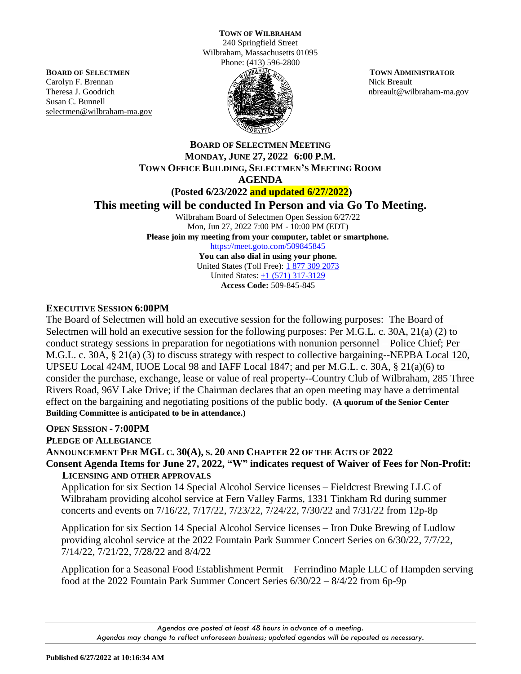240 Springfield Street Wilbraham, Massachusetts 01095 Phone: (413) 596-2800

**BOARD OF SELECTMEN** Carolyn F. Brennan Theresa J. Goodrich Susan C. Bunnell selectmen@wilbraham-ma.gov



 **TOWN ADMINISTRATOR** Nick Breault nbreault@wilbraham-ma.gov

**BOARD OF SELECTMEN MEETING MONDAY, JUNE 27, 2022 6:00 P.M. TOWN OFFICE BUILDING, SELECTMEN'S MEETING ROOM AGENDA** 

**(Posted 6/23/2022 and updated 6/27/2022)**

**This meeting will be conducted In Person and via Go To Meeting.**

Wilbraham Board of Selectmen Open Session 6/27/22 Mon, Jun 27, 2022 7:00 PM - 10:00 PM (EDT) **Please join my meeting from your computer, tablet or smartphone.**  <https://meet.goto.com/509845845> **You can also dial in using your phone.** United States (Toll Free): [1 877 309 2073](tel:+18773092073,,509845845) United States: [+1 \(571\) 317-3129](tel:+15713173129,,509845845) **Access Code:** 509-845-845

**EXECUTIVE SESSION 6:00PM**

The Board of Selectmen will hold an executive session for the following purposes: The Board of Selectmen will hold an executive session for the following purposes: Per M.G.L. c. 30A, 21(a) (2) to conduct strategy sessions in preparation for negotiations with nonunion personnel – Police Chief; Per M.G.L. c. 30A, § 21(a) (3) to discuss strategy with respect to collective bargaining--NEPBA Local 120, UPSEU Local 424M, IUOE Local 98 and IAFF Local 1847; and per M.G.L. c. 30A, § 21(a)(6) to consider the purchase, exchange, lease or value of real property--Country Club of Wilbraham, 285 Three Rivers Road, 96V Lake Drive; if the Chairman declares that an open meeting may have a detrimental effect on the bargaining and negotiating positions of the public body. **(A quorum of the Senior Center Building Committee is anticipated to be in attendance.)**

# **OPEN SESSION - 7:00PM**

**PLEDGE OF ALLEGIANCE** 

**ANNOUNCEMENT PER MGL C. 30(A), S. 20 AND CHAPTER 22 OF THE ACTS OF 2022 Consent Agenda Items for June 27, 2022, "W" indicates request of Waiver of Fees for Non-Profit: LICENSING AND OTHER APPROVALS**

Application for six Section 14 Special Alcohol Service licenses – Fieldcrest Brewing LLC of Wilbraham providing alcohol service at Fern Valley Farms, 1331 Tinkham Rd during summer concerts and events on 7/16/22, 7/17/22, 7/23/22, 7/24/22, 7/30/22 and 7/31/22 from 12p-8p

Application for six Section 14 Special Alcohol Service licenses – Iron Duke Brewing of Ludlow providing alcohol service at the 2022 Fountain Park Summer Concert Series on 6/30/22, 7/7/22, 7/14/22, 7/21/22, 7/28/22 and 8/4/22

Application for a Seasonal Food Establishment Permit – Ferrindino Maple LLC of Hampden serving food at the 2022 Fountain Park Summer Concert Series 6/30/22 – 8/4/22 from 6p-9p

*Agendas are posted at least 48 hours in advance of a meeting. Agendas may change to reflect unforeseen business; updated agendas will be reposted as necessary.*